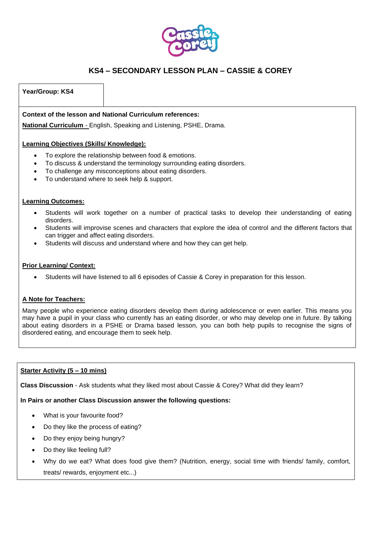

### **Year/Group: KS4**

**Context of the lesson and National Curriculum references:**

**National Curriculum** - English, Speaking and Listening, PSHE, Drama.

### **Learning Objectives (Skills/ Knowledge):**

- To explore the relationship between food & emotions.
- To discuss & understand the terminology surrounding eating disorders.
- To challenge any misconceptions about eating disorders.
- To understand where to seek help & support.

### **Learning Outcomes:**

- Students will work together on a number of practical tasks to develop their understanding of eating disorders.
- Students will improvise scenes and characters that explore the idea of control and the different factors that can trigger and affect eating disorders.
- Students will discuss and understand where and how they can get help.

### **Prior Learning/ Context:**

• Students will have listened to all 6 episodes of Cassie & Corey in preparation for this lesson.

### **A Note for Teachers:**

Many people who experience eating disorders develop them during adolescence or even earlier. This means you may have a pupil in your class who currently has an eating disorder, or who may develop one in future. By talking about eating disorders in a PSHE or Drama based lesson, you can both help pupils to recognise the signs of disordered eating, and encourage them to seek help.

### **Starter Activity (5 – 10 mins)**

**Class Discussion** - Ask students what they liked most about Cassie & Corey? What did they learn?

## **In Pairs or another Class Discussion answer the following questions:**

- What is your favourite food?
- Do they like the process of eating?
- Do they enjoy being hungry?
- Do they like feeling full?
- Why do we eat? What does food give them? (Nutrition, energy, social time with friends/ family, comfort, treats/ rewards, enjoyment etc...)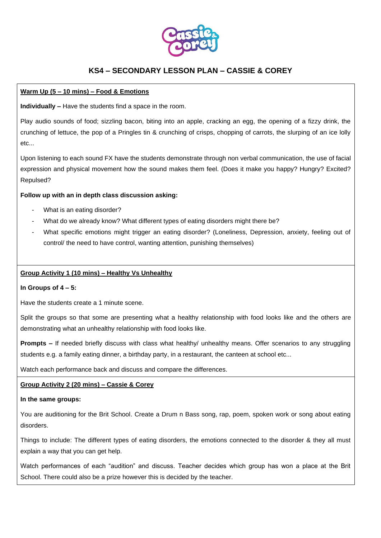

## **Warm Up (5 – 10 mins) – Food & Emotions**

**Individually –** Have the students find a space in the room.

Play audio sounds of food; sizzling bacon, biting into an apple, cracking an egg, the opening of a fizzy drink, the crunching of lettuce, the pop of a Pringles tin & crunching of crisps, chopping of carrots, the slurping of an ice lolly etc...

Upon listening to each sound FX have the students demonstrate through non verbal communication, the use of facial expression and physical movement how the sound makes them feel. (Does it make you happy? Hungry? Excited? Repulsed?

## **Follow up with an in depth class discussion asking:**

- What is an eating disorder?
- What do we already know? What different types of eating disorders might there be?
- What specific emotions might trigger an eating disorder? (Loneliness, Depression, anxiety, feeling out of control/ the need to have control, wanting attention, punishing themselves)

## **Group Activity 1 (10 mins) – Healthy Vs Unhealthy**

### **In Groups of 4 – 5:**

Have the students create a 1 minute scene.

Split the groups so that some are presenting what a healthy relationship with food looks like and the others are demonstrating what an unhealthy relationship with food looks like.

**Prompts –** If needed briefly discuss with class what healthy/ unhealthy means. Offer scenarios to any struggling students e.g. a family eating dinner, a birthday party, in a restaurant, the canteen at school etc...

Watch each performance back and discuss and compare the differences.

## **Group Activity 2 (20 mins) – Cassie & Corey**

### **In the same groups:**

You are auditioning for the Brit School. Create a Drum n Bass song, rap, poem, spoken work or song about eating disorders.

Things to include: The different types of eating disorders, the emotions connected to the disorder & they all must explain a way that you can get help.

Watch performances of each "audition" and discuss. Teacher decides which group has won a place at the Brit School. There could also be a prize however this is decided by the teacher.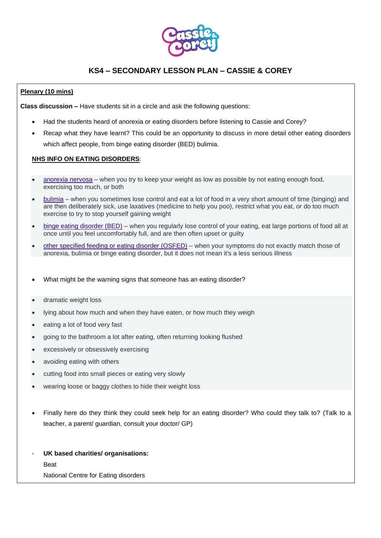

## **Plenary (10 mins)**

**Class discussion –** Have students sit in a circle and ask the following questions:

- Had the students heard of anorexia or eating disorders before listening to Cassie and Corey?
- Recap what they have learnt? This could be an opportunity to discuss in more detail other eating disorders which affect people, from binge eating disorder (BED) bulimia.

### **NHS INFO ON EATING DISORDERS**:

- [anorexia nervosa](https://www.nhs.uk/conditions/anorexia/) when you try to keep your weight as low as possible by not eating enough food, exercising too much, or both
- [bulimia](https://www.nhs.uk/conditions/bulimia/) when you sometimes lose control and eat a lot of food in a very short amount of time (binging) and are then deliberately sick, use laxatives (medicine to help you poo), restrict what you eat, or do too much exercise to try to stop yourself gaining weight
- binge eating [disorder \(BED\)](https://www.nhs.uk/conditions/binge-eating/) when you regularly lose control of your eating, eat large portions of food all at once until you feel uncomfortably full, and are then often upset or guilty
- [other specified feeding or eating disorder \(OSFED\)](https://www.beateatingdisorders.org.uk/types/osfed) when your symptoms do not exactly match those of anorexia, bulimia or binge eating disorder, but it does not mean it's a less serious illness
- What might be the warning signs that someone has an eating disorder?
- dramatic weight loss
- lying about how much and when they have eaten, or how much they weigh
- eating a lot of food very fast
- going to the bathroom a lot after eating, often returning looking flushed
- excessively or obsessively exercising
- avoiding eating with others
- cutting food into small pieces or eating very slowly
- wearing loose or baggy clothes to hide their weight loss
- Finally here do they think they could seek help for an eating disorder? Who could they talk to? (Talk to a teacher, a parent/ guardian, consult your doctor/ GP)
- **UK based charities/ organisations:** Beat

National Centre for Eating disorders